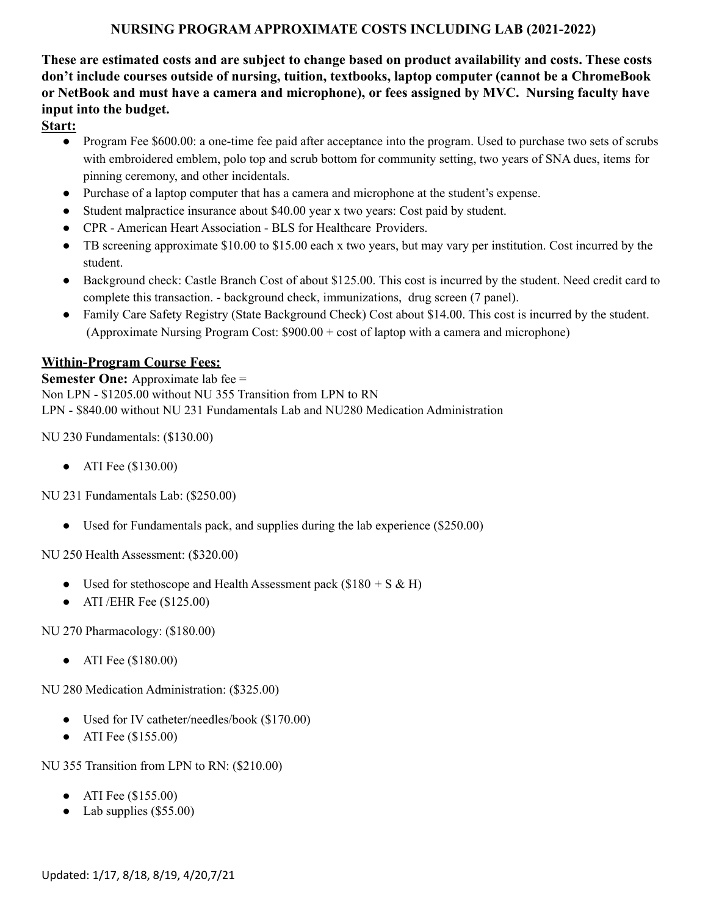### **NURSING PROGRAM APPROXIMATE COSTS INCLUDING LAB (2021-2022)**

**These are estimated costs and are subject to change based on product availability and costs. These costs don't include courses outside of nursing, tuition, textbooks, laptop computer (cannot be a ChromeBook or NetBook and must have a camera and microphone), or fees assigned by MVC. Nursing faculty have input into the budget.**

**Start:**

- Program Fee \$600.00: a one-time fee paid after acceptance into the program. Used to purchase two sets of scrubs with embroidered emblem, polo top and scrub bottom for community setting, two years of SNA dues, items for pinning ceremony, and other incidentals.
- Purchase of a laptop computer that has a camera and microphone at the student's expense.
- Student malpractice insurance about \$40.00 year x two years: Cost paid by student.
- CPR American Heart Association BLS for Healthcare Providers.
- TB screening approximate \$10.00 to \$15.00 each x two years, but may vary per institution. Cost incurred by the student.
- Background check: Castle Branch Cost of about \$125.00. This cost is incurred by the student. Need credit card to complete this transaction. - background check, immunizations, drug screen (7 panel).
- Family Care Safety Registry (State Background Check) Cost about \$14.00. This cost is incurred by the student. (Approximate Nursing Program Cost: \$900.00 + cost of laptop with a camera and microphone)

#### **Within-Program Course Fees:**

**Semester One:** Approximate lab fee = Non LPN - \$1205.00 without NU 355 Transition from LPN to RN LPN - \$840.00 without NU 231 Fundamentals Lab and NU280 Medication Administration

NU 230 Fundamentals: (\$130.00)

● ATI Fee (\$130.00)

NU 231 Fundamentals Lab: (\$250.00)

• Used for Fundamentals pack, and supplies during the lab experience (\$250.00)

NU 250 Health Assessment: (\$320.00)

- Used for stethoscope and Health Assessment pack  $(\$180 + S & H)$
- $\bullet$  ATI /EHR Fee (\$125.00)

NU 270 Pharmacology: (\$180.00)

● ATI Fee (\$180.00)

NU 280 Medication Administration: (\$325.00)

- Used for IV catheter/needles/book (\$170.00)
- ATI Fee (\$155.00)

NU 355 Transition from LPN to RN: (\$210.00)

- ATI Fee (\$155.00)
- Lab supplies  $(\$55.00)$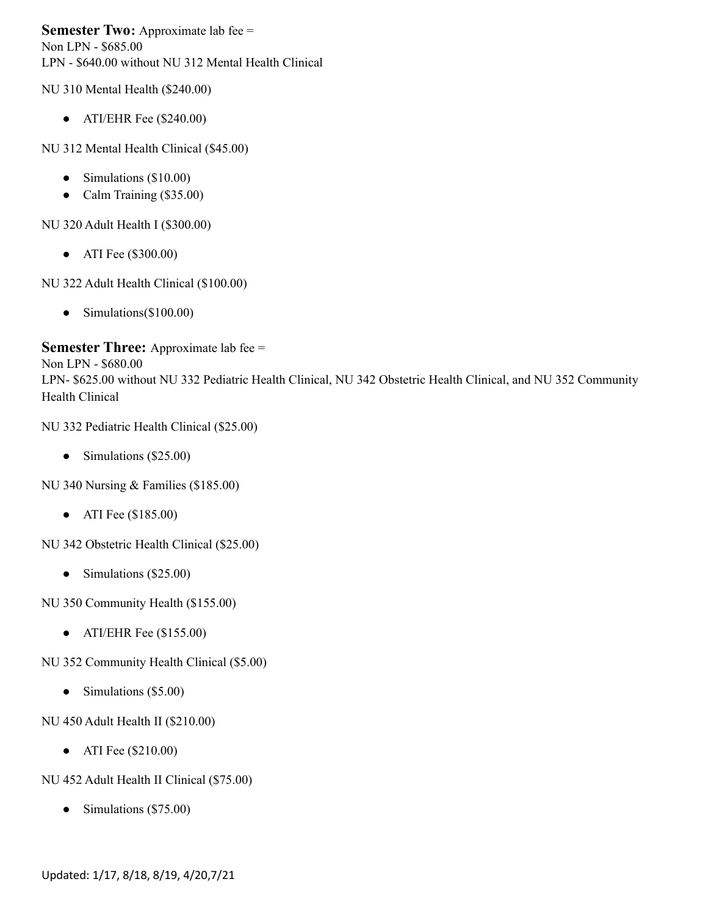**Semester Two:** Approximate lab fee = Non LPN - \$685.00 LPN - \$640.00 without NU 312 Mental Health Clinical

NU 310 Mental Health (\$240.00)

• ATI/EHR Fee  $(\$240.00)$ 

NU 312 Mental Health Clinical (\$45.00)

- Simulations (\$10.00)
- Calm Training (\$35.00)

NU 320 Adult Health I (\$300.00)

● ATI Fee (\$300.00)

NU 322 Adult Health Clinical (\$100.00)

• Simulations(\$100.00)

**Semester Three:** Approximate lab fee =

Non LPN - \$680.00 LPN- \$625.00 without NU 332 Pediatric Health Clinical, NU 342 Obstetric Health Clinical, and NU 352 Community Health Clinical

NU 332 Pediatric Health Clinical (\$25.00)

• Simulations (\$25.00)

NU 340 Nursing & Families (\$185.00)

● ATI Fee (\$185.00)

NU 342 Obstetric Health Clinical (\$25.00)

• Simulations (\$25.00)

NU 350 Community Health (\$155.00)

• ATI/EHR Fee  $(\$155.00)$ 

NU 352 Community Health Clinical (\$5.00)

• Simulations (\$5.00)

NU 450 Adult Health II (\$210.00)

● ATI Fee (\$210.00)

NU 452 Adult Health II Clinical (\$75.00)

• Simulations (\$75.00)